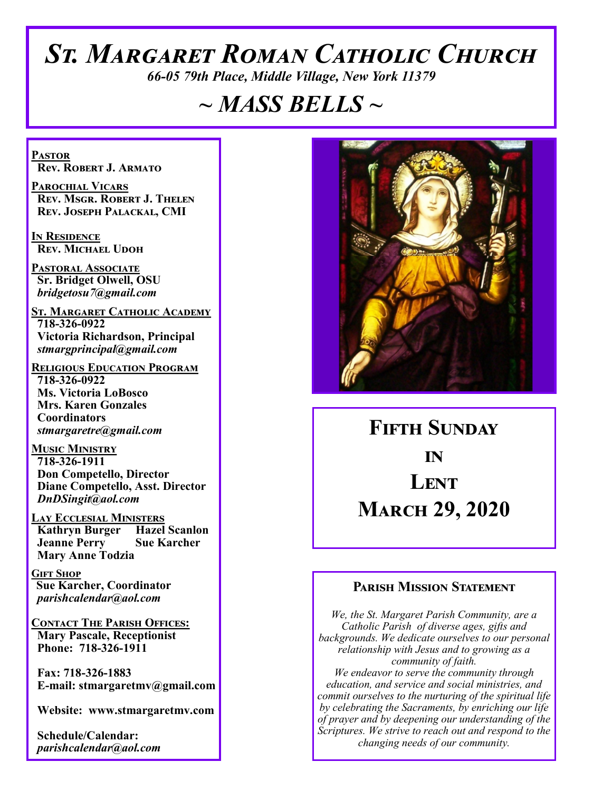# *St. Margaret Roman Catholic Church*

*66-05 79th Place, Middle Village, New York 11379*

# *~ MASS BELLS ~*

**Pastor Rev. Robert J. Armato**

**Parochial Vicars Rev. Msgr. Robert J. Thelen Rev. Joseph Palackal, CMI**

**In Residence Rev. Michael Udoh**

**Pastoral Associate Sr. Bridget Olwell, OSU**  *bridgetosu7@gmail.com*

**St. Margaret Catholic Academy 718-326-0922 Victoria Richardson, Principal**  *stmargprincipal@gmail.com*

**Religious Education Program 718-326-0922 Ms. Victoria LoBosco Mrs. Karen Gonzales Coordinators** *stmargaretre@gmail.com*

**Music Ministry 718-326-1911 Don Competello, Director Diane Competello, Asst. Director** *DnDSingit@aol.com*

**LAY ECCLESIAL MINISTERS<br>
Kathryn Burger Hazel Scanlon Kathryn Burger Jeanne Perry Sue Karcher Mary Anne Todzia**

**Gift Shop Sue Karcher, Coordinator** *parishcalendar@aol.com*

**Contact The Parish Offices: Mary Pascale, Receptionist Phone: 718-326-1911** 

 **Fax: 718-326-1883 E-mail: stmargaretmv@gmail.com**

 **Website: www.stmargaretmv.com**

 **Schedule/Calendar:** *parishcalendar@aol.com* 



**Fifth Sunday in Lent March 29, 2020** 

## **Parish Mission Statement**

*We, the St. Margaret Parish Community, are a Catholic Parish of diverse ages, gifts and backgrounds. We dedicate ourselves to our personal relationship with Jesus and to growing as a community of faith. We endeavor to serve the community through education, and service and social ministries, and commit ourselves to the nurturing of the spiritual life by celebrating the Sacraments, by enriching our life of prayer and by deepening our understanding of the Scriptures. We strive to reach out and respond to the changing needs of our community.*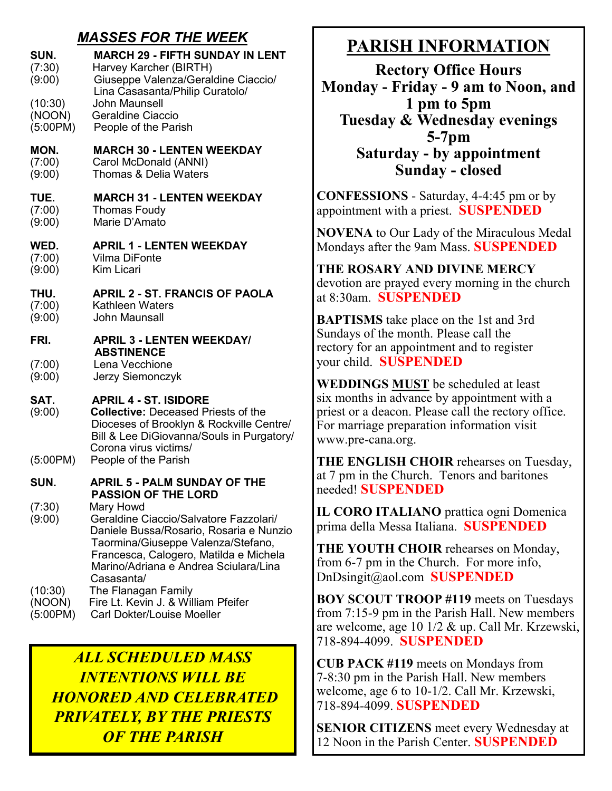# *MASSES FOR THE WEEK*

| SUN.<br>(7:30)<br>(9:00)      | <b>MARCH 29 - FIFTH SUNDAY IN LENT</b><br>Harvey Karcher (BIRTH)<br>Giuseppe Valenza/Geraldine Ciaccio/<br>Lina Casasanta/Philip Curatolo/                                                                                                                          |
|-------------------------------|---------------------------------------------------------------------------------------------------------------------------------------------------------------------------------------------------------------------------------------------------------------------|
| (10:30)<br>(NOON)<br>(5:00PM) | <b>John Maunsell</b><br>Geraldine Ciaccio<br>People of the Parish                                                                                                                                                                                                   |
| MON.<br>(7:00)<br>(9:00)      | <b>MARCH 30 - LENTEN WEEKDAY</b><br>Carol McDonald (ANNI)<br><b>Thomas &amp; Delia Waters</b>                                                                                                                                                                       |
| TUE.<br>(7:00)<br>(9:00)      | <b>MARCH 31 - LENTEN WEEKDAY</b><br><b>Thomas Foudy</b><br>Marie D'Amato                                                                                                                                                                                            |
| WED.<br>(7:00)<br>(9:00)      | <b>APRIL 1 - LENTEN WEEKDAY</b><br><b>Vilma DiFonte</b><br><b>Kim Licari</b>                                                                                                                                                                                        |
| THU.<br>(7:00)<br>(9:00)      | <b>APRIL 2 - ST. FRANCIS OF PAOLA</b><br>Kathleen Waters<br>John Maunsall                                                                                                                                                                                           |
| FRI.                          | <b>APRIL 3 - LENTEN WEEKDAY/</b>                                                                                                                                                                                                                                    |
| (7:00)<br>(9:00)              | <b>ABSTINENCE</b><br>Lena Vecchione<br>Jerzy Siemonczyk                                                                                                                                                                                                             |
| SAT.<br>(9:00)                | <b>APRIL 4 - ST. ISIDORE</b><br><b>Collective: Deceased Priests of the</b><br>Dioceses of Brooklyn & Rockville Centre/<br>Bill & Lee DiGiovanna/Souls in Purgatory/<br>Corona virus victims/                                                                        |
| (5:00PM)                      | People of the Parish                                                                                                                                                                                                                                                |
| SUN.                          | <b>APRIL 5 - PALM SUNDAY OF THE</b>                                                                                                                                                                                                                                 |
| (7:30)<br>(9:00)              | <b>PASSION OF THE LORD</b><br>Mary Howd<br>Geraldine Ciaccio/Salvatore Fazzolari/<br>Daniele Bussa/Rosario, Rosaria e Nunzio<br>Taormina/Giuseppe Valenza/Stefano,<br>Francesca, Calogero, Matilda e Michela<br>Marino/Adriana e Andrea Sciulara/Lina<br>Casasanta/ |
| (10:30)<br>(NOON)<br>(5:00PM) | The Flanagan Family<br>Fire Lt. Kevin J. & William Pfeifer<br><b>Carl Dokter/Louise Moeller</b>                                                                                                                                                                     |

*ALL SCHEDULED MASS INTENTIONS WILL BE HONORED AND CELEBRATED PRIVATELY, BY THE PRIESTS OF THE PARISH*

# **PARISH INFORMATION**

**Rectory Office Hours Monday - Friday - 9 am to Noon, and 1 pm to 5pm Tuesday & Wednesday evenings 5-7pm Saturday - by appointment Sunday - closed**

**CONFESSIONS** - Saturday, 4-4:45 pm or by appointment with a priest. **SUSPENDED**

**NOVENA** to Our Lady of the Miraculous Medal Mondays after the 9am Mass. **SUSPENDED**

**THE ROSARY AND DIVINE MERCY** devotion are prayed every morning in the church at 8:30am. **SUSPENDED**

**BAPTISMS** take place on the 1st and 3rd Sundays of the month. Please call the rectory for an appointment and to register your child. **SUSPENDED**

**WEDDINGS MUST** be scheduled at least six months in advance by appointment with a priest or a deacon. Please call the rectory office. For marriage preparation information visit www.pre-cana.org.

**THE ENGLISH CHOIR** rehearses on Tuesday, at 7 pm in the Church. Tenors and baritones needed! **SUSPENDED**

**IL CORO ITALIANO** prattica ogni Domenica prima della Messa Italiana. **SUSPENDED**

**THE YOUTH CHOIR** rehearses on Monday, from 6-7 pm in the Church. For more info, DnDsingit@aol.com **SUSPENDED**

**BOY SCOUT TROOP #119** meets on Tuesdays from 7:15-9 pm in the Parish Hall. New members are welcome, age 10 1/2 & up. Call Mr. Krzewski, 718-894-4099. **SUSPENDED**

**CUB PACK #119** meets on Mondays from 7-8:30 pm in the Parish Hall. New members welcome, age 6 to 10-1/2. Call Mr. Krzewski, 718-894-4099. **SUSPENDED**

**SENIOR CITIZENS** meet every Wednesday at 12 Noon in the Parish Center. **SUSPENDED**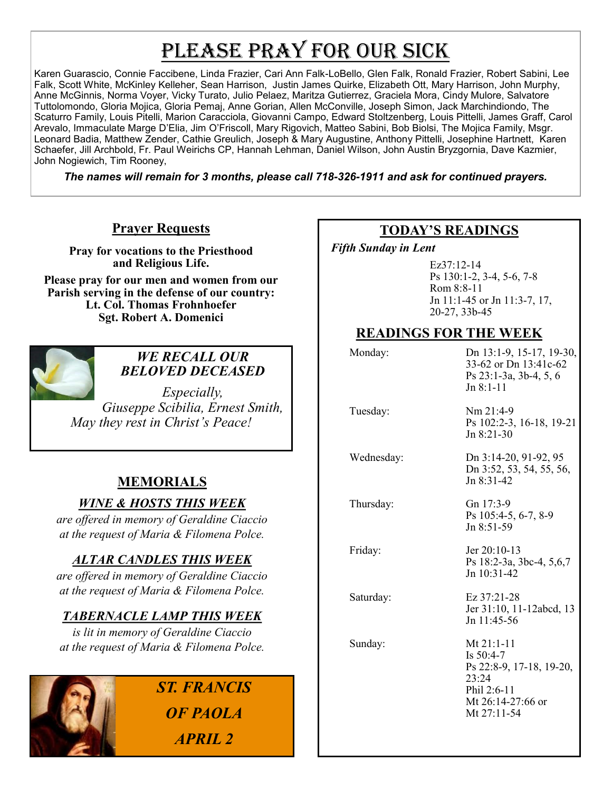# PLEASE PRAY FOR OUR SICK

Karen Guarascio, Connie Faccibene, Linda Frazier, Cari Ann Falk-LoBello, Glen Falk, Ronald Frazier, Robert Sabini, Lee Falk, Scott White, McKinley Kelleher, Sean Harrison, Justin James Quirke, Elizabeth Ott, Mary Harrison, John Murphy, Anne McGinnis, Norma Voyer, Vicky Turato, Julio Pelaez, Maritza Gutierrez, Graciela Mora, Cindy Mulore, Salvatore Tuttolomondo, Gloria Mojica, Gloria Pemaj, Anne Gorian, Allen McConville, Joseph Simon, Jack Marchindiondo, The Scaturro Family, Louis Pitelli, Marion Caracciola, Giovanni Campo, Edward Stoltzenberg, Louis Pittelli, James Graff, Carol Arevalo, Immaculate Marge D'Elia, Jim O'Friscoll, Mary Rigovich, Matteo Sabini, Bob Biolsi, The Mojica Family, Msgr. Leonard Badia, Matthew Zender, Cathie Greulich, Joseph & Mary Augustine, Anthony Pittelli, Josephine Hartnett, Karen Schaefer, Jill Archbold, Fr. Paul Weirichs CP, Hannah Lehman, Daniel Wilson, John Austin Bryzgornia, Dave Kazmier, John Nogiewich, Tim Rooney,

*The names will remain for 3 months, please call 718-326-1911 and ask for continued prayers.*

## **Prayer Requests**

**Pray for vocations to the Priesthood and Religious Life.** 

**Please pray for our men and women from our Parish serving in the defense of our country: Lt. Col. Thomas Frohnhoefer Sgt. Robert A. Domenici** 



## *WE RECALL OUR BELOVED DECEASED*

*Especially, Giuseppe Scibilia, Ernest Smith, May they rest in Christ's Peace!*

## **MEMORIALS**

*WINE & HOSTS THIS WEEK*

*are offered in memory of Geraldine Ciaccio at the request of Maria & Filomena Polce.*

## *ALTAR CANDLES THIS WEEK*

*are offered in memory of Geraldine Ciaccio at the request of Maria & Filomena Polce.*

## *TABERNACLE LAMP THIS WEEK*

*is lit in memory of Geraldine Ciaccio at the request of Maria & Filomena Polce.* 



# *ST. FRANCIS OF PAOLA APRIL 2*

## **TODAY'S READINGS**

 *Fifth Sunday in Lent* 

Ez37:12-14 Ps 130:1-2, 3-4, 5-6, 7-8 Rom 8:8-11 Jn 11:1-45 or Jn 11:3-7, 17, 20-27, 33b-45

## **READINGS FOR THE WEEK**

| Monday:    | Dn 13:1-9, 15-17, 19-30,<br>33-62 or Dn 13:41c-62<br>Ps 23:1-3a, 3b-4, 5, 6<br>$Jn$ 8:1-11                          |
|------------|---------------------------------------------------------------------------------------------------------------------|
| Tuesday:   | $Nm$ 21:4-9<br>Ps 102:2-3, 16-18, 19-21<br>$Jn$ 8:21-30                                                             |
| Wednesday: | Dn 3:14-20, 91-92, 95<br>Dn 3:52, 53, 54, 55, 56,<br>$Jn$ 8:31-42                                                   |
| Thursday:  | Gn 17:3-9<br>Ps 105:4-5, 6-7, 8-9<br>Jn 8:51-59                                                                     |
| Friday:    | Jer 20:10-13<br>Ps 18:2-3a, 3bc-4, 5,6,7<br>Jn 10:31-42                                                             |
| Saturday:  | Ez 37:21-28<br>Jer 31:10, 11-12abcd, 13<br>$Jn$ 11:45-56                                                            |
| Sunday:    | Mt $21:1-11$<br>Is $50:4-7$<br>Ps 22:8-9, 17-18, 19-20,<br>23:24<br>Phil 2:6-11<br>Mt 26:14-27:66 or<br>Mt 27:11-54 |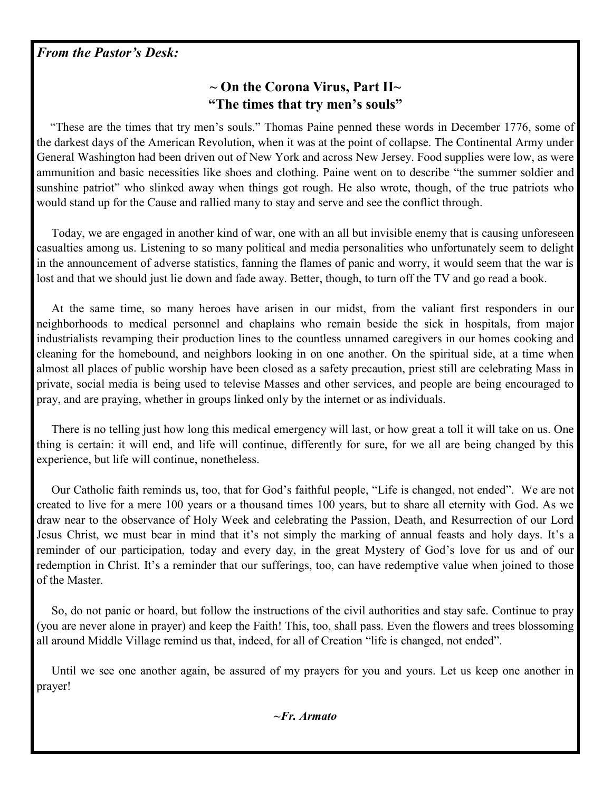## *From the Pastor's Desk:*

# **~ On the Corona Virus, Part II~ "The times that try men's souls"**

 "These are the times that try men's souls." Thomas Paine penned these words in December 1776, some of the darkest days of the American Revolution, when it was at the point of collapse. The Continental Army under General Washington had been driven out of New York and across New Jersey. Food supplies were low, as were ammunition and basic necessities like shoes and clothing. Paine went on to describe "the summer soldier and sunshine patriot" who slinked away when things got rough. He also wrote, though, of the true patriots who would stand up for the Cause and rallied many to stay and serve and see the conflict through.

 Today, we are engaged in another kind of war, one with an all but invisible enemy that is causing unforeseen casualties among us. Listening to so many political and media personalities who unfortunately seem to delight in the announcement of adverse statistics, fanning the flames of panic and worry, it would seem that the war is lost and that we should just lie down and fade away. Better, though, to turn off the TV and go read a book.

 At the same time, so many heroes have arisen in our midst, from the valiant first responders in our neighborhoods to medical personnel and chaplains who remain beside the sick in hospitals, from major industrialists revamping their production lines to the countless unnamed caregivers in our homes cooking and cleaning for the homebound, and neighbors looking in on one another. On the spiritual side, at a time when almost all places of public worship have been closed as a safety precaution, priest still are celebrating Mass in private, social media is being used to televise Masses and other services, and people are being encouraged to pray, and are praying, whether in groups linked only by the internet or as individuals.

 There is no telling just how long this medical emergency will last, or how great a toll it will take on us. One thing is certain: it will end, and life will continue, differently for sure, for we all are being changed by this experience, but life will continue, nonetheless.

 Our Catholic faith reminds us, too, that for God's faithful people, "Life is changed, not ended". We are not created to live for a mere 100 years or a thousand times 100 years, but to share all eternity with God. As we draw near to the observance of Holy Week and celebrating the Passion, Death, and Resurrection of our Lord Jesus Christ, we must bear in mind that it's not simply the marking of annual feasts and holy days. It's a reminder of our participation, today and every day, in the great Mystery of God's love for us and of our redemption in Christ. It's a reminder that our sufferings, too, can have redemptive value when joined to those of the Master.

 So, do not panic or hoard, but follow the instructions of the civil authorities and stay safe. Continue to pray (you are never alone in prayer) and keep the Faith! This, too, shall pass. Even the flowers and trees blossoming all around Middle Village remind us that, indeed, for all of Creation "life is changed, not ended".

 Until we see one another again, be assured of my prayers for you and yours. Let us keep one another in prayer!

*~Fr. Armato*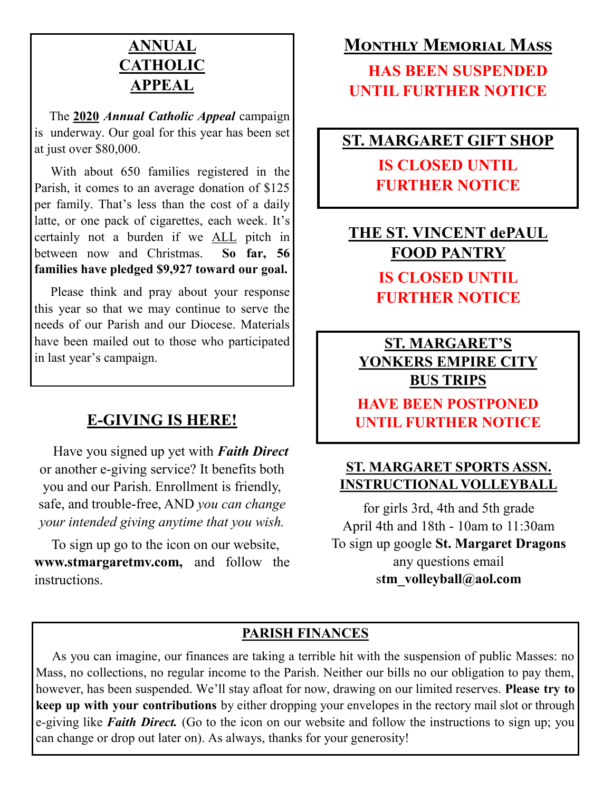# **ANNUAL CATHOLIC APPEAL**

 The **2020** *Annual Catholic Appeal* campaign is underway. Our goal for this year has been set at just over \$80,000.

 With about 650 families registered in the Parish, it comes to an average donation of \$125 per family. That's less than the cost of a daily latte, or one pack of cigarettes, each week. It's certainly not a burden if we ALL pitch in between now and Christmas. **So far, 56 families have pledged \$9,927 toward our goal.** 

 Please think and pray about your response this year so that we may continue to serve the needs of our Parish and our Diocese. Materials have been mailed out to those who participated in last year's campaign.

# **E-GIVING IS HERE!**

 Have you signed up yet with *Faith Direct*  or another e-giving service? It benefits both you and our Parish. Enrollment is friendly, safe, and trouble-free, AND *you can change your intended giving anytime that you wish.*

 To sign up go to the icon on our website, **www.stmargaretmv.com,** and follow the instructions.

# **Monthly Memorial Mass**

 **HAS BEEN SUSPENDED UNTIL FURTHER NOTICE**

# **ST. MARGARET GIFT SHOP**

**IS CLOSED UNTIL FURTHER NOTICE**

**THE ST. VINCENT dePAUL FOOD PANTRY IS CLOSED UNTIL FURTHER NOTICE**

**ST. MARGARET'S YONKERS EMPIRE CITY BUS TRIPS**

**HAVE BEEN POSTPONED UNTIL FURTHER NOTICE**

# **ST. MARGARET SPORTS ASSN. INSTRUCTIONAL VOLLEYBALL**

for girls 3rd, 4th and 5th grade April 4th and 18th - 10am to 11:30am To sign up google **St. Margaret Dragons** any questions email s**tm\_volleyball@aol.com**

# **PARISH FINANCES**

 As you can imagine, our finances are taking a terrible hit with the suspension of public Masses: no Mass, no collections, no regular income to the Parish. Neither our bills no our obligation to pay them, however, has been suspended. We'll stay afloat for now, drawing on our limited reserves. **Please try to keep up with your contributions** by either dropping your envelopes in the rectory mail slot or through e-giving like *Faith Direct.* (Go to the icon on our website and follow the instructions to sign up; you can change or drop out later on). As always, thanks for your generosity!